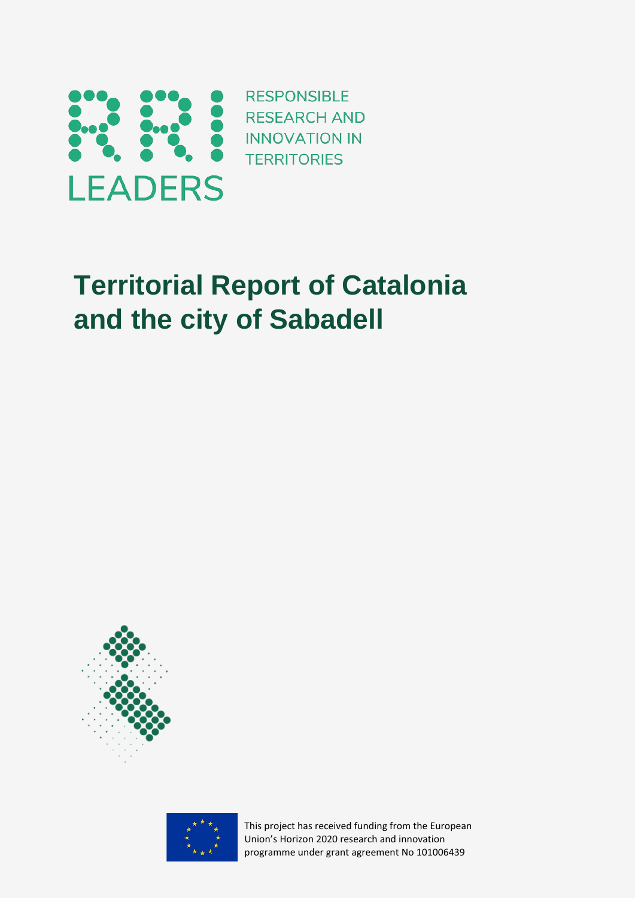

**RESPONSIBLE TERRITORIES** 

# **Territorial Report of Catalonia and the city of Sabadell**



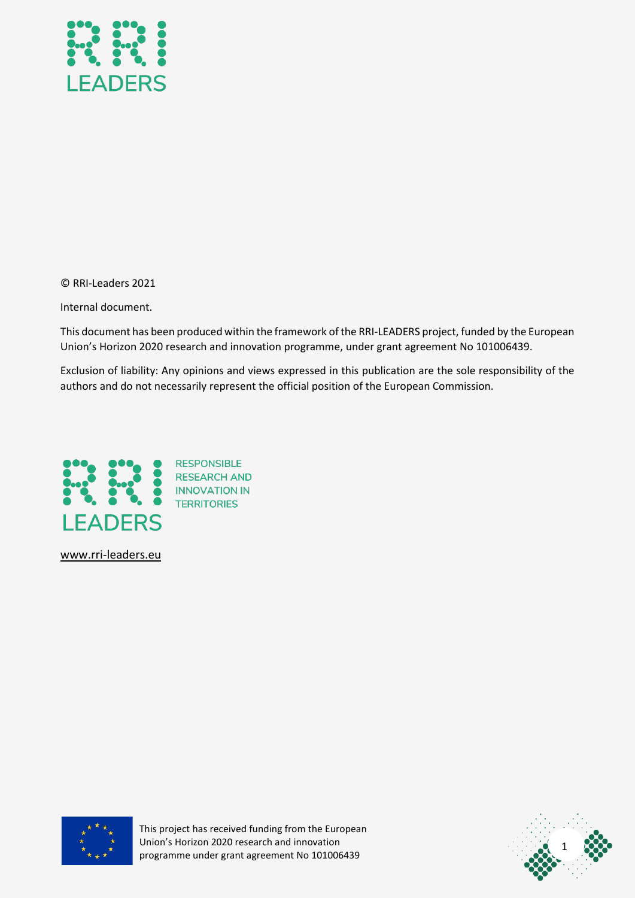

© RRI-Leaders 2021

Internal document.

This document has been produced within the framework of the RRI-LEADERS project, funded by the European Union's Horizon 2020 research and innovation programme, under grant agreement No 101006439.

Exclusion of liability: Any opinions and views expressed in this publication are the sole responsibility of the authors and do not necessarily represent the official position of the European Commission.



[www.rri-leaders.eu](http://www.rri-leaders.eu/)



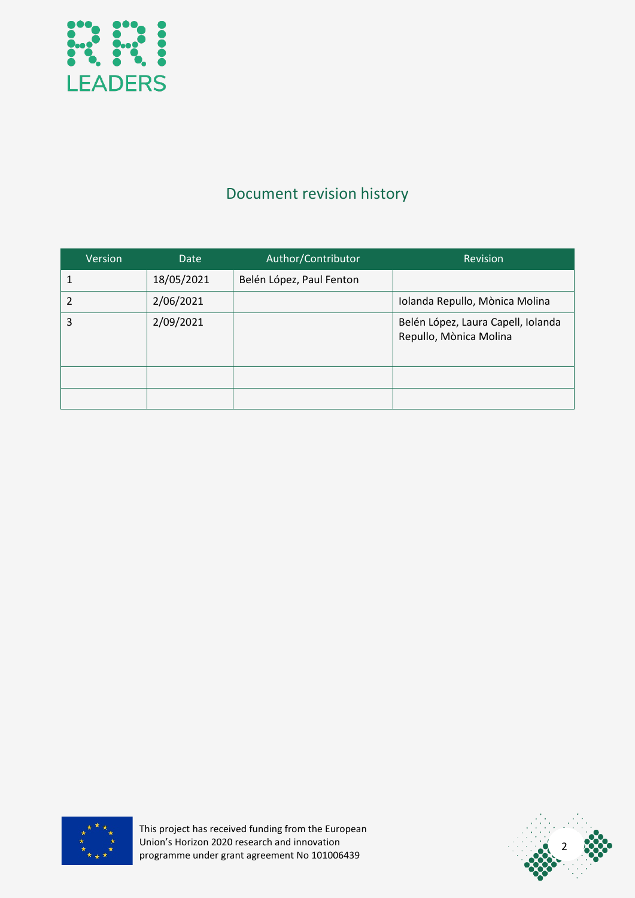

## Document revision history

| Version | Date       | Author/Contributor       | Revision                                                     |
|---------|------------|--------------------------|--------------------------------------------------------------|
|         | 18/05/2021 | Belén López, Paul Fenton |                                                              |
| 2       | 2/06/2021  |                          | Iolanda Repullo, Mònica Molina                               |
| 3       | 2/09/2021  |                          | Belén López, Laura Capell, Iolanda<br>Repullo, Mònica Molina |
|         |            |                          |                                                              |
|         |            |                          |                                                              |



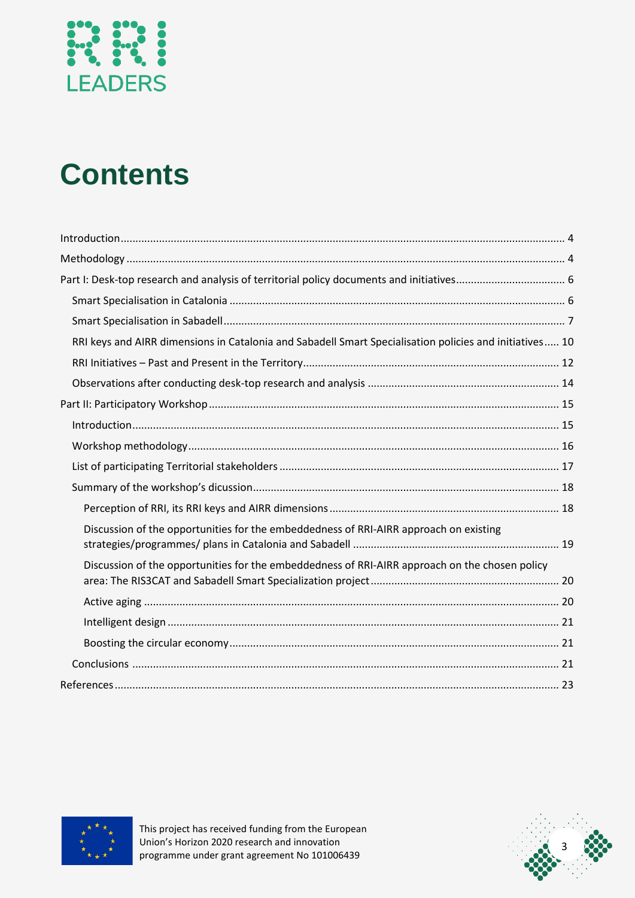

# **Contents**

| RRI keys and AIRR dimensions in Catalonia and Sabadell Smart Specialisation policies and initiatives 10 |  |
|---------------------------------------------------------------------------------------------------------|--|
|                                                                                                         |  |
|                                                                                                         |  |
|                                                                                                         |  |
|                                                                                                         |  |
|                                                                                                         |  |
|                                                                                                         |  |
|                                                                                                         |  |
|                                                                                                         |  |
| Discussion of the opportunities for the embeddedness of RRI-AIRR approach on existing                   |  |
| Discussion of the opportunities for the embeddedness of RRI-AIRR approach on the chosen policy          |  |
|                                                                                                         |  |
|                                                                                                         |  |
|                                                                                                         |  |
|                                                                                                         |  |
|                                                                                                         |  |



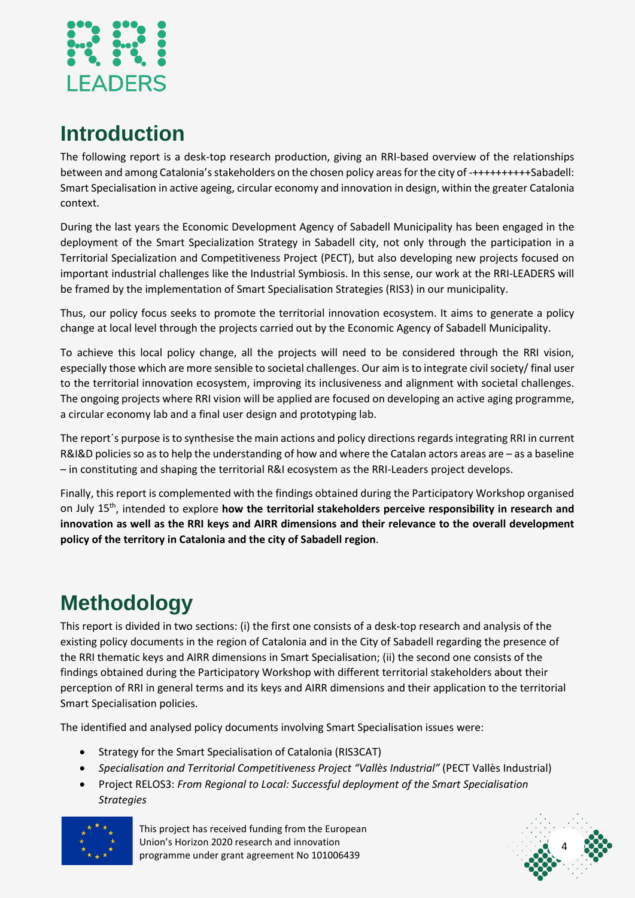

# <span id="page-4-0"></span>**Introduction**

The following report is a desk-top research production, giving an RRI-based overview of the relationships between and among Catalonia's stakeholders on the chosen policy areas for the city of -++++++++++Sabadell: Smart Specialisation in active ageing, circular economy and innovation in design, within the greater Catalonia context.

During the last years the Economic Development Agency of Sabadell Municipality has been engaged in the deployment of the Smart Specialization Strategy in Sabadell city, not only through the participation in a Territorial Specialization and Competitiveness Project (PECT), but also developing new projects focused on important industrial challenges like the Industrial Symbiosis. In this sense, our work at the RRI-LEADERS will be framed by the implementation of Smart Specialisation Strategies (RIS3) in our municipality.

Thus, our policy focus seeks to promote the territorial innovation ecosystem. It aims to generate a policy change at local level through the projects carried out by the Economic Agency of Sabadell Municipality.

To achieve this local policy change, all the projects will need to be considered through the RRI vision, especially those which are more sensible to societal challenges. Our aim is to integrate civil society/ final user to the territorial innovation ecosystem, improving its inclusiveness and alignment with societal challenges. The ongoing projects where RRI vision will be applied are focused on developing an active aging programme, a circular economy lab and a final user design and prototyping lab.

The report´s purpose is to synthesise the main actions and policy directions regards integrating RRI in current R&I&D policies so as to help the understanding of how and where the Catalan actors areas are – as a baseline – in constituting and shaping the territorial R&I ecosystem as the RRI-Leaders project develops.

Finally, this report is complemented with the findings obtained during the Participatory Workshop organised on July 15th, intended to explore **how the territorial stakeholders perceive responsibility in research and innovation as well as the RRI keys and AIRR dimensions and their relevance to the overall development policy of the territory in Catalonia and the city of Sabadell region**.

# <span id="page-4-1"></span>**Methodology**

This report is divided in two sections: (i) the first one consists of a desk-top research and analysis of the existing policy documents in the region of Catalonia and in the City of Sabadell regarding the presence of the RRI thematic keys and AIRR dimensions in Smart Specialisation; (ii) the second one consists of the findings obtained during the Participatory Workshop with different territorial stakeholders about their perception of RRI in general terms and its keys and AIRR dimensions and their application to the territorial Smart Specialisation policies.

The identified and analysed policy documents involving Smart Specialisation issues were:

- Strategy for the Smart Specialisation of Catalonia (RIS3CAT)
- *Specialisation and Territorial Competitiveness Project "Vallès Industrial"* (PECT Vallès Industrial)
- Project RELOS3: *From Regional to Local: Successful deployment of the Smart Specialisation Strategies*



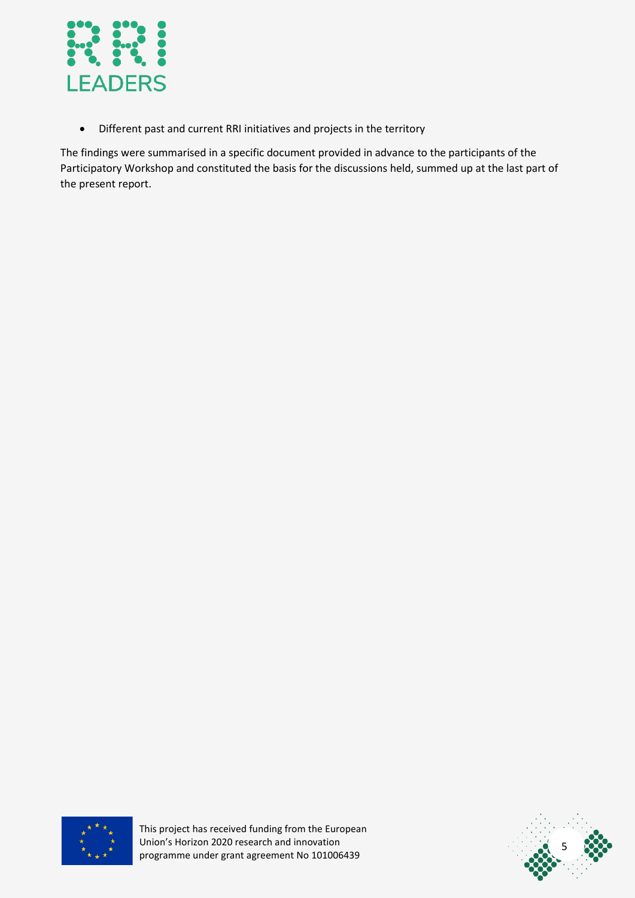

• Different past and current RRI initiatives and projects in the territory

The findings were summarised in a specific document provided in advance to the participants of the Participatory Workshop and constituted the basis for the discussions held, summed up at the last part of the present report.



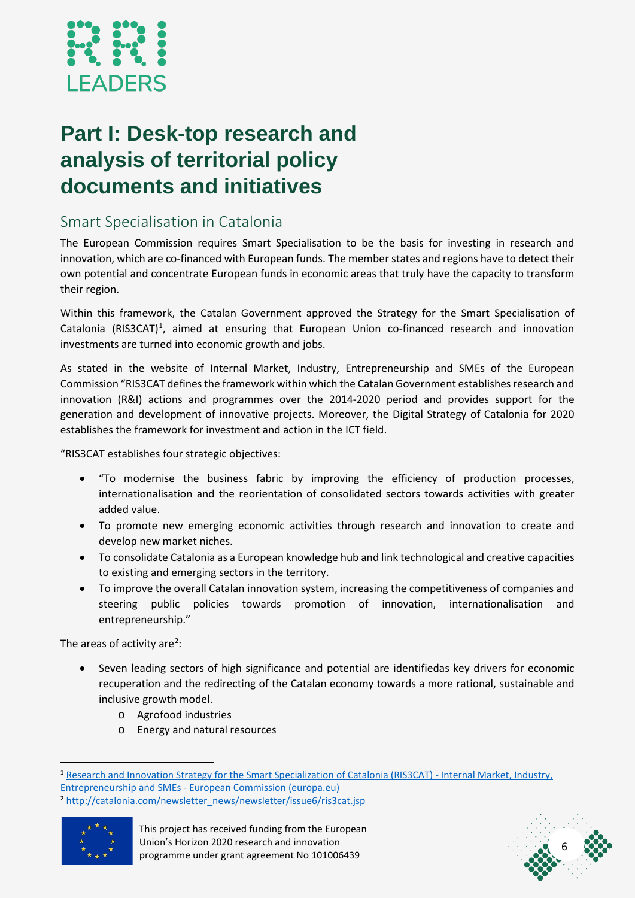

# <span id="page-6-0"></span>**Part I: Desk-top research and analysis of territorial policy documents and initiatives**

#### <span id="page-6-1"></span>Smart Specialisation in Catalonia

The European Commission requires Smart Specialisation to be the basis for investing in research and innovation, which are co-financed with European funds. The member states and regions have to detect their own potential and concentrate European funds in economic areas that truly have the capacity to transform their region.

Within this framework, the Catalan Government approved the Strategy for the Smart Specialisation of Catalonia (RIS3CAT)<sup>[1](#page-6-2)</sup>, aimed at ensuring that European Union co-financed research and innovation investments are turned into economic growth and jobs.

As stated in the website of Internal Market, Industry, Entrepreneurship and SMEs of the European Commission "RIS3CAT defines the framework within which the Catalan Government establishes research and innovation (R&I) actions and programmes over the 2014-2020 period and provides support for the generation and development of innovative projects. Moreover, the Digital Strategy of Catalonia for 2020 establishes the framework for investment and action in the ICT field.

"RIS3CAT establishes four strategic objectives:

- "To modernise the business fabric by improving the efficiency of production processes, internationalisation and the reorientation of consolidated sectors towards activities with greater added value.
- To promote new emerging economic activities through research and innovation to create and develop new market niches.
- To consolidate Catalonia as a European knowledge hub and link technological and creative capacities to existing and emerging sectors in the territory.
- To improve the overall Catalan innovation system, increasing the competitiveness of companies and steering public policies towards promotion of innovation, internationalisation and entrepreneurship."

The areas of activity are<sup>[2](#page-6-3)</sup>:

- Seven leading sectors of high significance and potential are identifiedas key drivers for economic recuperation and the redirecting of the Catalan economy towards a more rational, sustainable and inclusive growth model.
	- o Agrofood industries
	- o Energy and natural resources

<span id="page-6-3"></span><sup>&</sup>lt;sup>2</sup> [http://catalonia.com/newsletter\\_news/newsletter/issue6/ris3cat.jsp](http://catalonia.com/newsletter_news/newsletter/issue6/ris3cat.jsp)





<span id="page-6-2"></span><sup>&</sup>lt;sup>1</sup> [Research and Innovation Strategy for the Smart Specialization of Catalonia \(RIS3CAT\) -](https://ec.europa.eu/growth/tools-databases/regional-innovation-monitor/policy-document/research-and-innovation-strategy-smart-specialisation-catalonia-ris3cat) Internal Market, Industry, Entrepreneurship and SMEs - [European Commission \(europa.eu\)](https://ec.europa.eu/growth/tools-databases/regional-innovation-monitor/policy-document/research-and-innovation-strategy-smart-specialisation-catalonia-ris3cat)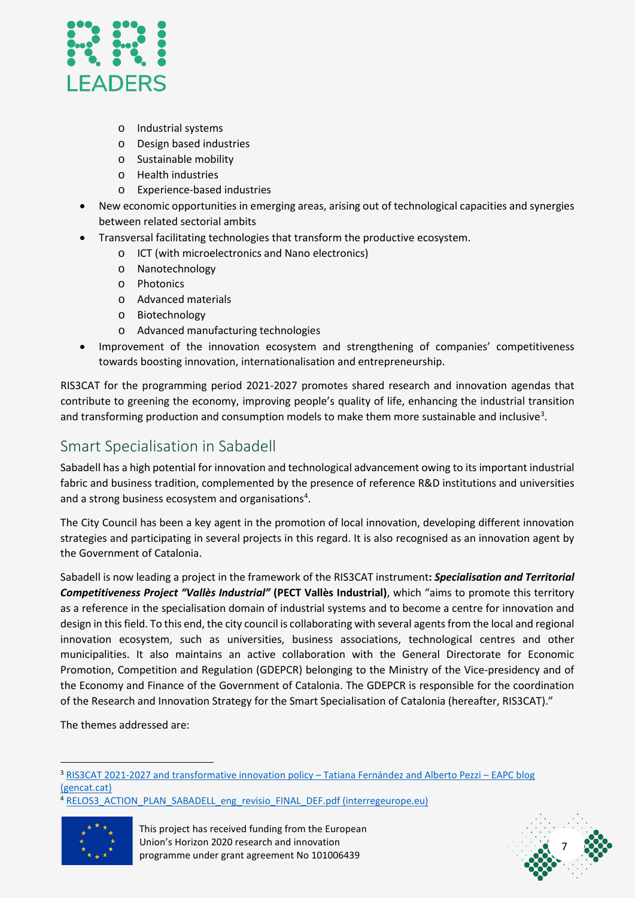

- o Industrial systems
- o Design based industries
- o Sustainable mobility
- o Health industries
- o Experience-based industries
- New economic opportunities in emerging areas, arising out of technological capacities and synergies between related sectorial ambits
- Transversal facilitating technologies that transform the productive ecosystem.
	- o ICT (with microelectronics and Nano electronics)
	- o Nanotechnology
	- o Photonics
	- o Advanced materials
	- o Biotechnology
	- o Advanced manufacturing technologies
- Improvement of the innovation ecosystem and strengthening of companies' competitiveness towards boosting innovation, internationalisation and entrepreneurship.

RIS3CAT for the programming period 2021-2027 promotes shared research and innovation agendas that contribute to greening the economy, improving people's quality of life, enhancing the industrial transition and transforming production and consumption models to make them more sustainable and inclusive<sup>[3](#page-7-1)</sup>.

#### <span id="page-7-0"></span>Smart Specialisation in Sabadell

Sabadell has a high potential for innovation and technological advancement owing to its important industrial fabric and business tradition, complemented by the presence of reference R&D institutions and universities and a strong business ecosystem and organisations<sup>[4](#page-7-2)</sup>.

The City Council has been a key agent in the promotion of local innovation, developing different innovation strategies and participating in several projects in this regard. It is also recognised as an innovation agent by the Government of Catalonia.

Sabadell is now leading a project in the framework of the RIS3CAT instrument**:** *Specialisation and Territorial Competitiveness Project "Vallès Industrial"* **(PECT Vallès Industrial)**, which "aims to promote this territory as a reference in the specialisation domain of industrial systems and to become a centre for innovation and design in this field. To this end, the city council is collaborating with several agents from the local and regional innovation ecosystem, such as universities, business associations, technological centres and other municipalities. It also maintains an active collaboration with the General Directorate for Economic Promotion, Competition and Regulation (GDEPCR) belonging to the Ministry of the Vice-presidency and of the Economy and Finance of the Government of Catalonia. The GDEPCR is responsible for the coordination of the Research and Innovation Strategy for the Smart Specialisation of Catalonia (hereafter, RIS3CAT)."

The themes addressed are:

<span id="page-7-2"></span><sup>&</sup>lt;sup>4</sup> [RELOS3\\_ACTION\\_PLAN\\_SABADELL\\_eng\\_revisio\\_FINAL\\_DEF.pdf \(interregeurope.eu\)](https://www.interregeurope.eu/fileadmin/user_upload/tx_tevprojects/library/file_1612451809.pdf)





<span id="page-7-1"></span><sup>&</sup>lt;sup>3</sup> RIS3CAT 2021-2027 and transformative innovation policy - Tatiana Fernández and Alberto Pezzi - EAPC blog [\(gencat.cat\)](https://eapc.blog.gencat.cat/2020/05/26/ris3cat-2021-2027-and-transformative-innovation-policy-tatiana-fernandez-and-alberto-pezzi/)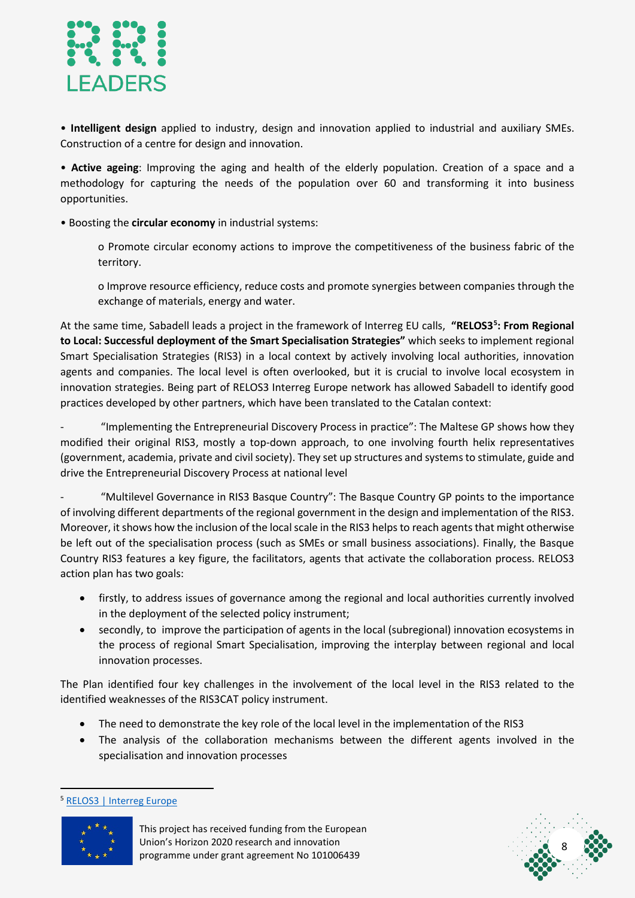

• **Intelligent design** applied to industry, design and innovation applied to industrial and auxiliary SMEs. Construction of a centre for design and innovation.

• **Active ageing**: Improving the aging and health of the elderly population. Creation of a space and a methodology for capturing the needs of the population over 60 and transforming it into business opportunities.

• Boosting the **circular economy** in industrial systems:

o Promote circular economy actions to improve the competitiveness of the business fabric of the territory.

o Improve resource efficiency, reduce costs and promote synergies between companies through the exchange of materials, energy and water.

At the same time, Sabadell leads a project in the framework of Interreg EU calls, **"RELOS3[5](#page-8-0) : From Regional to Local: Successful deployment of the Smart Specialisation Strategies"** which seeks to implement regional Smart Specialisation Strategies (RIS3) in a local context by actively involving local authorities, innovation agents and companies. The local level is often overlooked, but it is crucial to involve local ecosystem in innovation strategies. Being part of RELOS3 Interreg Europe network has allowed Sabadell to identify good practices developed by other partners, which have been translated to the Catalan context:

- "Implementing the Entrepreneurial Discovery Process in practice": The Maltese GP shows how they modified their original RIS3, mostly a top-down approach, to one involving fourth helix representatives (government, academia, private and civil society). They set up structures and systems to stimulate, guide and drive the Entrepreneurial Discovery Process at national level

- "Multilevel Governance in RIS3 Basque Country": The Basque Country GP points to the importance of involving different departments of the regional government in the design and implementation of the RIS3. Moreover, it shows how the inclusion of the local scale in the RIS3 helps to reach agents that might otherwise be left out of the specialisation process (such as SMEs or small business associations). Finally, the Basque Country RIS3 features a key figure, the facilitators, agents that activate the collaboration process. RELOS3 action plan has two goals:

- firstly, to address issues of governance among the regional and local authorities currently involved in the deployment of the selected policy instrument;
- secondly, to improve the participation of agents in the local (subregional) innovation ecosystems in the process of regional Smart Specialisation, improving the interplay between regional and local innovation processes.

The Plan identified four key challenges in the involvement of the local level in the RIS3 related to the identified weaknesses of the RIS3CAT policy instrument.

- The need to demonstrate the key role of the local level in the implementation of the RIS3
- The analysis of the collaboration mechanisms between the different agents involved in the specialisation and innovation processes

<span id="page-8-0"></span><sup>5</sup> [RELOS3 | Interreg Europe](https://www.interregeurope.eu/relos3/)



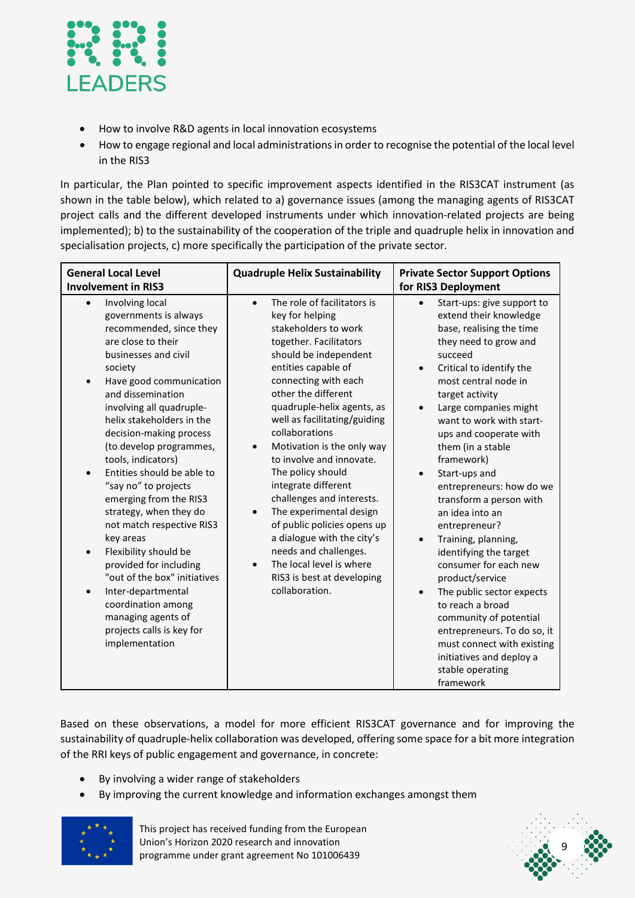

- How to involve R&D agents in local innovation ecosystems
- How to engage regional and local administrations in order to recognise the potential of the local level in the RIS3

In particular, the Plan pointed to specific improvement aspects identified in the RIS3CAT instrument (as shown in the table below), which related to a) governance issues (among the managing agents of RIS3CAT project calls and the different developed instruments under which innovation-related projects are being implemented); b) to the sustainability of the cooperation of the triple and quadruple helix in innovation and specialisation projects, c) more specifically the participation of the private sector.

| <b>General Local Level</b><br><b>Involvement in RIS3</b>                                                                                                                                                                                                                                                                                                                                                                                                                                                                                                                                                                                                                                                                                   | <b>Quadruple Helix Sustainability</b>                                                                                                                                                                                                                                                                                                                                                                                                                                                                                                                                                                                                     | <b>Private Sector Support Options</b><br>for RIS3 Deployment                                                                                                                                                                                                                                                                                                                                                                                                                                                                                                                                                                                                                                                                                                       |  |
|--------------------------------------------------------------------------------------------------------------------------------------------------------------------------------------------------------------------------------------------------------------------------------------------------------------------------------------------------------------------------------------------------------------------------------------------------------------------------------------------------------------------------------------------------------------------------------------------------------------------------------------------------------------------------------------------------------------------------------------------|-------------------------------------------------------------------------------------------------------------------------------------------------------------------------------------------------------------------------------------------------------------------------------------------------------------------------------------------------------------------------------------------------------------------------------------------------------------------------------------------------------------------------------------------------------------------------------------------------------------------------------------------|--------------------------------------------------------------------------------------------------------------------------------------------------------------------------------------------------------------------------------------------------------------------------------------------------------------------------------------------------------------------------------------------------------------------------------------------------------------------------------------------------------------------------------------------------------------------------------------------------------------------------------------------------------------------------------------------------------------------------------------------------------------------|--|
| Involving local<br>$\bullet$<br>governments is always<br>recommended, since they<br>are close to their<br>businesses and civil<br>society<br>Have good communication<br>$\bullet$<br>and dissemination<br>involving all quadruple-<br>helix stakeholders in the<br>decision-making process<br>(to develop programmes,<br>tools, indicators)<br>Entities should be able to<br>$\bullet$<br>"say no" to projects<br>emerging from the RIS3<br>strategy, when they do<br>not match respective RIS3<br>key areas<br>Flexibility should be<br>$\bullet$<br>provided for including<br>"out of the box" initiatives<br>Inter-departmental<br>$\bullet$<br>coordination among<br>managing agents of<br>projects calls is key for<br>implementation | The role of facilitators is<br>$\bullet$<br>key for helping<br>stakeholders to work<br>together. Facilitators<br>should be independent<br>entities capable of<br>connecting with each<br>other the different<br>quadruple-helix agents, as<br>well as facilitating/guiding<br>collaborations<br>Motivation is the only way<br>to involve and innovate.<br>The policy should<br>integrate different<br>challenges and interests.<br>The experimental design<br>of public policies opens up<br>a dialogue with the city's<br>needs and challenges.<br>The local level is where<br>$\bullet$<br>RIS3 is best at developing<br>collaboration. | Start-ups: give support to<br>$\bullet$<br>extend their knowledge<br>base, realising the time<br>they need to grow and<br>succeed<br>Critical to identify the<br>most central node in<br>target activity<br>Large companies might<br>want to work with start-<br>ups and cooperate with<br>them (in a stable<br>framework)<br>Start-ups and<br>entrepreneurs: how do we<br>transform a person with<br>an idea into an<br>entrepreneur?<br>Training, planning,<br>$\bullet$<br>identifying the target<br>consumer for each new<br>product/service<br>The public sector expects<br>$\bullet$<br>to reach a broad<br>community of potential<br>entrepreneurs. To do so, it<br>must connect with existing<br>initiatives and deploy a<br>stable operating<br>framework |  |

Based on these observations, a model for more efficient RIS3CAT governance and for improving the sustainability of quadruple-helix collaboration was developed, offering some space for a bit more integration of the RRI keys of public engagement and governance, in concrete:

- By involving a wider range of stakeholders
- By improving the current knowledge and information exchanges amongst them



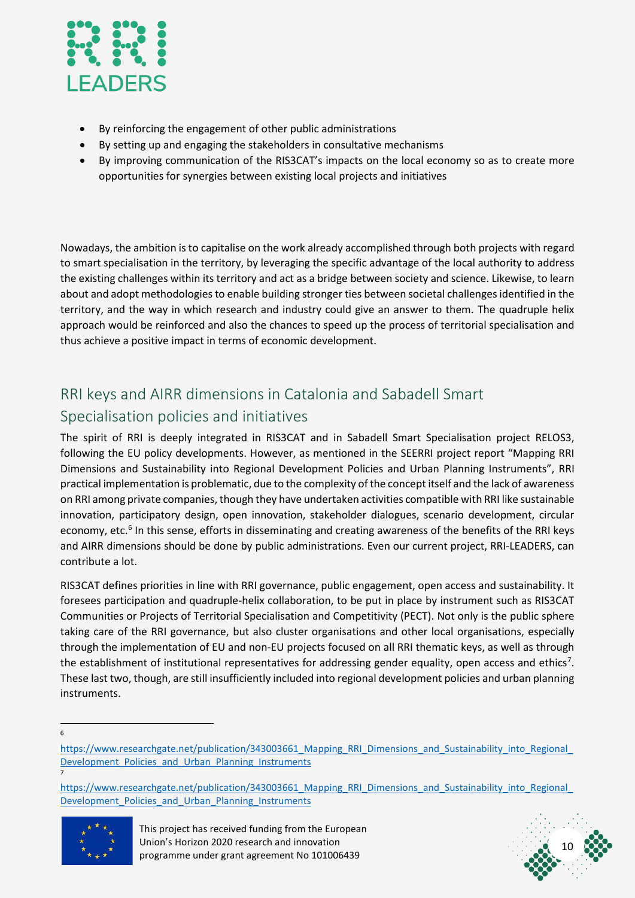

- By reinforcing the engagement of other public administrations
- By setting up and engaging the stakeholders in consultative mechanisms
- By improving communication of the RIS3CAT's impacts on the local economy so as to create more opportunities for synergies between existing local projects and initiatives

Nowadays, the ambition is to capitalise on the work already accomplished through both projects with regard to smart specialisation in the territory, by leveraging the specific advantage of the local authority to address the existing challenges within its territory and act as a bridge between society and science. Likewise, to learn about and adopt methodologies to enable building stronger ties between societal challenges identified in the territory, and the way in which research and industry could give an answer to them. The quadruple helix approach would be reinforced and also the chances to speed up the process of territorial specialisation and thus achieve a positive impact in terms of economic development.

## <span id="page-10-0"></span>RRI keys and AIRR dimensions in Catalonia and Sabadell Smart Specialisation policies and initiatives

The spirit of RRI is deeply integrated in RIS3CAT and in Sabadell Smart Specialisation project RELOS3, following the EU policy developments. However, as mentioned in the SEERRI project report "Mapping RRI Dimensions and Sustainability into Regional Development Policies and Urban Planning Instruments", RRI practical implementation is problematic, due to the complexity of the concept itself and the lack of awareness on RRI among private companies, though they have undertaken activities compatible with RRI like sustainable innovation, participatory design, open innovation, stakeholder dialogues, scenario development, circular economy, etc.<sup>6</sup> In this sense, efforts in disseminating and creating awareness of the benefits of the RRI keys and AIRR dimensions should be done by public administrations. Even our current project, RRI-LEADERS, can contribute a lot.

RIS3CAT defines priorities in line with RRI governance, public engagement, open access and sustainability. It foresees participation and quadruple-helix collaboration, to be put in place by instrument such as RIS3CAT Communities or Projects of Territorial Specialisation and Competitivity (PECT). Not only is the public sphere taking care of the RRI governance, but also cluster organisations and other local organisations, especially through the implementation of EU and non-EU projects focused on all RRI thematic keys, as well as through the establishment of institutional representatives for addressing gender equality, open access and ethics<sup>[7](#page-10-2)</sup>. These last two, though, are still insufficiently included into regional development policies and urban planning instruments.

6

<span id="page-10-2"></span>https://www.researchgate.net/publication/343003661\_Mapping\_RRI\_Dimensions\_and\_Sustainability\_into\_Regional Development\_Policies\_and\_Urban\_Planning\_Instruments





<span id="page-10-1"></span>https://www.researchgate.net/publication/343003661\_Mapping\_RRI\_Dimensions\_and\_Sustainability\_into\_Regional Development\_Policies\_and\_Urban\_Planning\_Instruments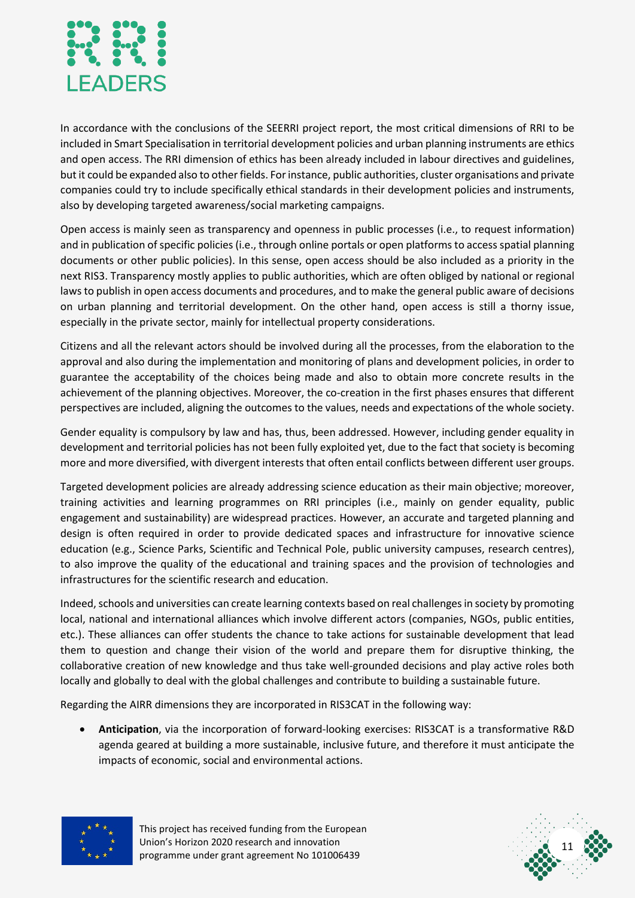

In accordance with the conclusions of the SEERRI project report, the most critical dimensions of RRI to be included in Smart Specialisation in territorial development policies and urban planning instruments are ethics and open access. The RRI dimension of ethics has been already included in labour directives and guidelines, but it could be expanded also to other fields. For instance, public authorities, cluster organisations and private companies could try to include specifically ethical standards in their development policies and instruments, also by developing targeted awareness/social marketing campaigns.

Open access is mainly seen as transparency and openness in public processes (i.e., to request information) and in publication of specific policies (i.e., through online portals or open platforms to access spatial planning documents or other public policies). In this sense, open access should be also included as a priority in the next RIS3. Transparency mostly applies to public authorities, which are often obliged by national or regional laws to publish in open access documents and procedures, and to make the general public aware of decisions on urban planning and territorial development. On the other hand, open access is still a thorny issue, especially in the private sector, mainly for intellectual property considerations.

Citizens and all the relevant actors should be involved during all the processes, from the elaboration to the approval and also during the implementation and monitoring of plans and development policies, in order to guarantee the acceptability of the choices being made and also to obtain more concrete results in the achievement of the planning objectives. Moreover, the co-creation in the first phases ensures that different perspectives are included, aligning the outcomes to the values, needs and expectations of the whole society.

Gender equality is compulsory by law and has, thus, been addressed. However, including gender equality in development and territorial policies has not been fully exploited yet, due to the fact that society is becoming more and more diversified, with divergent interests that often entail conflicts between different user groups.

Targeted development policies are already addressing science education as their main objective; moreover, training activities and learning programmes on RRI principles (i.e., mainly on gender equality, public engagement and sustainability) are widespread practices. However, an accurate and targeted planning and design is often required in order to provide dedicated spaces and infrastructure for innovative science education (e.g., Science Parks, Scientific and Technical Pole, public university campuses, research centres), to also improve the quality of the educational and training spaces and the provision of technologies and infrastructures for the scientific research and education.

Indeed, schools and universities can create learning contexts based on real challenges in society by promoting local, national and international alliances which involve different actors (companies, NGOs, public entities, etc.). These alliances can offer students the chance to take actions for sustainable development that lead them to question and change their vision of the world and prepare them for disruptive thinking, the collaborative creation of new knowledge and thus take well-grounded decisions and play active roles both locally and globally to deal with the global challenges and contribute to building a sustainable future.

Regarding the AIRR dimensions they are incorporated in RIS3CAT in the following way:

• **Anticipation**, via the incorporation of forward-looking exercises: RIS3CAT is a transformative R&D agenda geared at building a more sustainable, inclusive future, and therefore it must anticipate the impacts of economic, social and environmental actions.



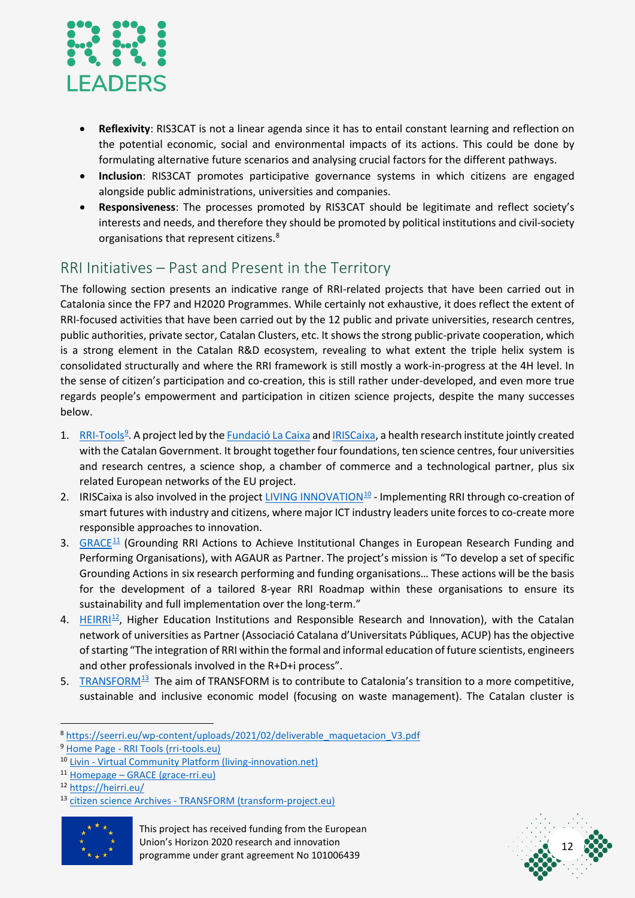

- **Reflexivity**: RIS3CAT is not a linear agenda since it has to entail constant learning and reflection on the potential economic, social and environmental impacts of its actions. This could be done by formulating alternative future scenarios and analysing crucial factors for the different pathways.
- **Inclusion**: RIS3CAT promotes participative governance systems in which citizens are engaged alongside public administrations, universities and companies.
- **Responsiveness**: The processes promoted by RIS3CAT should be legitimate and reflect society's interests and needs, and therefore they should be promoted by political institutions and civil-society organisations that represent citizens.<sup>[8](#page-12-1)</sup>

### <span id="page-12-0"></span>RRI Initiatives – Past and Present in the Territory

The following section presents an indicative range of RRI-related projects that have been carried out in Catalonia since the FP7 and H2020 Programmes. While certainly not exhaustive, it does reflect the extent of RRI-focused activities that have been carried out by the 12 public and private universities, research centres, public authorities, private sector, Catalan Clusters, etc. It shows the strong public-private cooperation, which is a strong element in the Catalan R&D ecosystem, revealing to what extent the triple helix system is consolidated structurally and where the RRI framework is still mostly a work-in-progress at the 4H level. In the sense of citizen's participation and co-creation, this is still rather under-developed, and even more true regards people's empowerment and participation in citizen science projects, despite the many successes below.

- 1. [RRI-Tools](https://rri-tools.eu/)<sup>[9](#page-12-2)</sup>. A project led by the **Fundació La [Caixa](https://fundacionlacaixa.org/en/)** and [IRISCaixa,](https://www.irsicaixa.es/en) a health research institute jointly created with the Catalan Government. It brought together four foundations, ten science centres, four universities and research centres, a science shop, a chamber of commerce and a technological partner, plus six related European networks of the EU project.
- 2. IRISCaixa is also involved in the projec[t LIVING INNOVATION](https://www.living-innovation.net/explore) $^{10}$  $^{10}$  $^{10}$  Implementing RRI through co-creation of smart futures with industry and citizens, where major ICT industry leaders unite forces to co-create more responsible approaches to innovation.
- 3.  $GRACE<sup>11</sup>$  $GRACE<sup>11</sup>$  $GRACE<sup>11</sup>$  $GRACE<sup>11</sup>$  (Grounding RRI Actions to Achieve Institutional Changes in European Research Funding and Performing Organisations), with AGAUR as Partner. The project's mission is "To develop a set of specific Grounding Actions in six research performing and funding organisations… These actions will be the basis for the development of a tailored 8-year RRI Roadmap within these organisations to ensure its sustainability and full implementation over the long-term."
- 4. [HEIRRI](https://heirri.eu/)<sup>12</sup>, Higher Education Institutions and Responsible Research and Innovation), with the Catalan network of universities as Partner (Associació Catalana d'Universitats Públiques, ACUP) has the objective of starting "The integration of RRI within the formal and informal education of future scientists, engineers and other professionals involved in the R+D+i process".
- 5. TRANSFOR $M^{13}$  The aim of [TRANSFORM](https://www.transform-project.eu/tag/citizen-science/) is to contribute to Catalonia's transition to a more competitive, sustainable and inclusive economic model (focusing on waste management). The Catalan cluster is

<span id="page-12-6"></span><sup>13</sup> citizen science Archives - [TRANSFORM \(transform-project.eu\)](https://www.transform-project.eu/tag/citizen-science/)





<span id="page-12-1"></span><sup>8</sup> [https://seerri.eu/wp-content/uploads/2021/02/deliverable\\_maquetacion\\_V3.pdf](https://seerri.eu/wp-content/uploads/2021/02/deliverable_maquetacion_V3.pdf)

<span id="page-12-2"></span><sup>9</sup> Home Page - [RRI Tools \(rri-tools.eu\)](https://rri-tools.eu/)

<span id="page-12-3"></span><sup>10</sup> Livin - [Virtual Community Platform \(living-innovation.net\)](https://www.living-innovation.net/explore)

<span id="page-12-4"></span><sup>11</sup> Homepage – [GRACE \(grace-rri.eu\)](http://grace-rri.eu/)

<span id="page-12-5"></span><sup>12</sup> <https://heirri.eu/>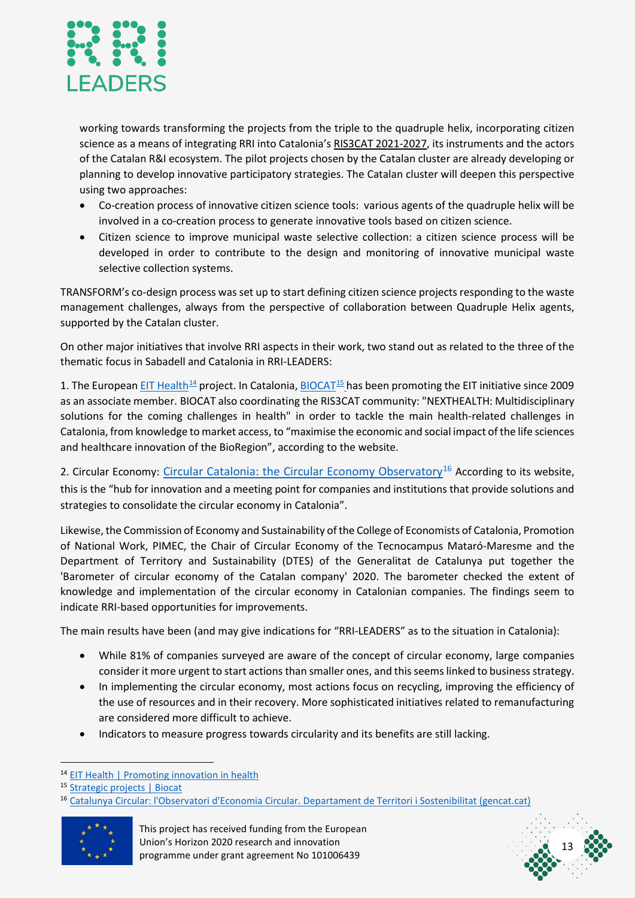

working towards transforming the projects from the triple to the quadruple helix, incorporating citizen science as a means of integrating RRI into Catalonia's RIS3CAT 2021-2027, its instruments and the actors of the Catalan R&I ecosystem. The pilot projects chosen by the Catalan cluster are already developing or planning to develop innovative participatory strategies. The Catalan cluster will deepen this perspective using two approaches:

- Co-creation process of innovative citizen science tools: various agents of the quadruple helix will be involved in a co-creation process to generate innovative tools based on citizen science.
- Citizen science to improve municipal waste selective collection: a citizen science process will be developed in order to contribute to the design and monitoring of innovative municipal waste selective collection systems.

TRANSFORM's co-design process was set up to start defining citizen science projects responding to the waste management challenges, always from the perspective of collaboration between Quadruple Helix agents, supported by the Catalan cluster.

On other major initiatives that involve RRI aspects in their work, two stand out as related to the three of the thematic focus in Sabadell and Catalonia in RRI-LEADERS:

1. The Europea[n EIT Health](https://eithealth.eu/)<sup>[14](#page-13-0)</sup> project. In Catalonia, BIOCAT<sup>15</sup> [h](https://www.biocat.cat/en/what-we-do/strategic-projects)as been promoting the EIT initiative since 2009 as an associate member. BIOCAT also coordinating the RIS3CAT community: "NEXTHEALTH: Multidisciplinary solutions for the coming challenges in health" in order to tackle the main health-related challenges in Catalonia, from knowledge to market access, to "maximise the economic and social impact of the life sciences and healthcare innovation of the BioRegion", according to the website.

2. Circular Economy: [Circular Catalonia: the Circular Economy Observatory](http://mediambient.gencat.cat/ca/05_ambits_dactuacio/empresa_i_produccio_sostenible/economia_verda/catalunya_circular)<sup>[16](#page-13-2)</sup> According to its website, this is the "hub for innovation and a meeting point for companies and institutions that provide solutions and strategies to consolidate the circular economy in Catalonia".

Likewise, the Commission of Economy and Sustainability of the College of Economists of Catalonia, Promotion of National Work, PIMEC, the Chair of Circular Economy of the Tecnocampus Mataró-Maresme and the Department of Territory and Sustainability (DTES) of the Generalitat de Catalunya put together the 'Barometer of circular economy of the Catalan company' 2020. The barometer checked the extent of knowledge and implementation of the circular economy in Catalonian companies. The findings seem to indicate RRI-based opportunities for improvements.

The main results have been (and may give indications for "RRI-LEADERS" as to the situation in Catalonia):

- While 81% of companies surveyed are aware of the concept of circular economy, large companies consider it more urgent to start actions than smaller ones, and this seems linked to business strategy.
- In implementing the circular economy, most actions focus on recycling, improving the efficiency of the use of resources and in their recovery. More sophisticated initiatives related to remanufacturing are considered more difficult to achieve.
- Indicators to measure progress towards circularity and its benefits are still lacking.

<span id="page-13-2"></span><span id="page-13-1"></span><sup>16</sup> [Catalunya Circular: l'Observatori d'Economia Circular. Departament de Territori i Sostenibilitat \(gencat.cat\)](http://mediambient.gencat.cat/ca/05_ambits_dactuacio/empresa_i_produccio_sostenible/economia_verda/catalunya_circular)





<span id="page-13-0"></span><sup>&</sup>lt;sup>14</sup> [EIT Health | Promoting innovation in health](https://eithealth.eu/)

<sup>15</sup> [Strategic projects | Biocat](https://www.biocat.cat/en/what-we-do/strategic-projects)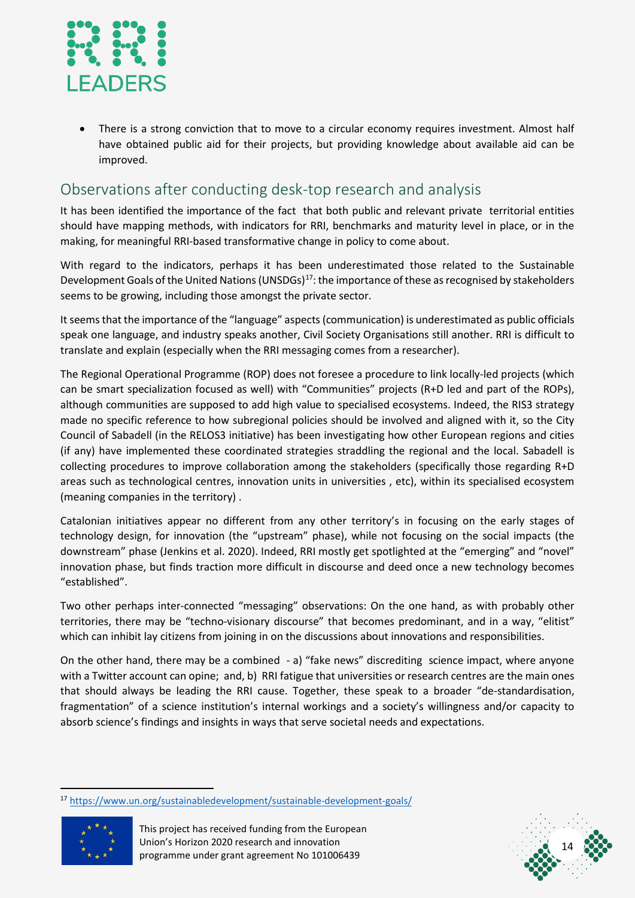

• There is a strong conviction that to move to a circular economy requires investment. Almost half have obtained public aid for their projects, but providing knowledge about available aid can be improved.

### <span id="page-14-0"></span>Observations after conducting desk-top research and analysis

It has been identified the importance of the fact that both public and relevant private territorial entities should have mapping methods, with indicators for RRI, benchmarks and maturity level in place, or in the making, for meaningful RRI-based transformative change in policy to come about.

With regard to the indicators, perhaps it has been underestimated those related to the Sustainable Development Goals of the United Nations (UNSDGs)<sup>17</sup>: the importance of these as recognised by stakeholders seems to be growing, including those amongst the private sector.

It seems that the importance of the "language" aspects (communication) is underestimated as public officials speak one language, and industry speaks another, Civil Society Organisations still another. RRI is difficult to translate and explain (especially when the RRI messaging comes from a researcher).

The Regional Operational Programme (ROP) does not foresee a procedure to link locally-led projects (which can be smart specialization focused as well) with "Communities" projects (R+D led and part of the ROPs), although communities are supposed to add high value to specialised ecosystems. Indeed, the RIS3 strategy made no specific reference to how subregional policies should be involved and aligned with it, so the City Council of Sabadell (in the RELOS3 initiative) has been investigating how other European regions and cities (if any) have implemented these coordinated strategies straddling the regional and the local. Sabadell is collecting procedures to improve collaboration among the stakeholders (specifically those regarding R+D areas such as technological centres, innovation units in universities , etc), within its specialised ecosystem (meaning companies in the territory) .

Catalonian initiatives appear no different from any other territory's in focusing on the early stages of technology design, for innovation (the "upstream" phase), while not focusing on the social impacts (the downstream" phase (Jenkins et al. 2020). Indeed, RRI mostly get spotlighted at the "emerging" and "novel" innovation phase, but finds traction more difficult in discourse and deed once a new technology becomes "established".

Two other perhaps inter-connected "messaging" observations: On the one hand, as with probably other territories, there may be "techno-visionary discourse" that becomes predominant, and in a way, "elitist" which can inhibit lay citizens from joining in on the discussions about innovations and responsibilities.

On the other hand, there may be a combined - a) "fake news" discrediting science impact, where anyone with a Twitter account can opine; and, b) RRI fatigue that universities or research centres are the main ones that should always be leading the RRI cause. Together, these speak to a broader "de-standardisation, fragmentation" of a science institution's internal workings and a society's willingness and/or capacity to absorb science's findings and insights in ways that serve societal needs and expectations.

14

<span id="page-14-1"></span><sup>17</sup> <https://www.un.org/sustainabledevelopment/sustainable-development-goals/>

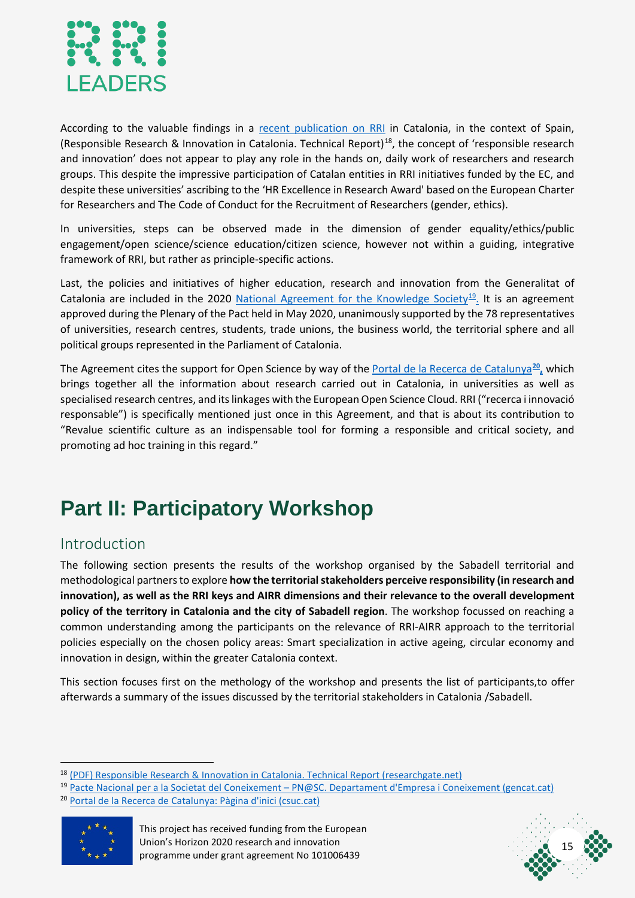

According to the valuable findings in a [recent publication on RRI](https://www.researchgate.net/publication/341641920_Responsible_Research_Innovation_in_Catalonia_Technical_Report) in Catalonia, in the context of Spain, (Responsible Research & Innovation in Catalonia. Technical Report)[18,](#page-15-2) the concept of 'responsible research and innovation' does not appear to play any role in the hands on, daily work of researchers and research groups. This despite the impressive participation of Catalan entities in RRI initiatives funded by the EC, and despite these universities' ascribing to the 'HR Excellence in Research Award' based on the European Charter for Researchers and The Code of Conduct for the Recruitment of Researchers (gender, ethics).

In universities, steps can be observed made in the dimension of gender equality/ethics/public engagement/open science/science education/citizen science, however not within a guiding, integrative framework of RRI, but rather as principle-specific actions.

Last, the policies and initiatives of higher education, research and innovation from the Generalitat of Catalonia are included in the 2020 [National Agreement for the Knowledge Society](http://empresa.gencat.cat/ca/intern/pnsc)<sup>[19](#page-15-3)</sup>. It is an agreement approved during the Plenary of the Pact held in May 2020, unanimously supported by the 78 representatives of universities, research centres, students, trade unions, the business world, the territorial sphere and all political groups represented in the Parliament of Catalonia.

The Agreement cites the support for Open Science by way of the [Portal de la Recerca de Catalunya](https://portalrecerca.csuc.cat/)<sup>[20](#page-15-4)</sup>, which brings together all the information about research carried out in Catalonia, in universities as well as specialised research centres, and its linkages with the European Open Science Cloud. RRI ("recerca i innovació responsable") is specifically mentioned just once in this Agreement, and that is about its contribution to "Revalue scientific culture as an indispensable tool for forming a responsible and critical society, and promoting ad hoc training in this regard."

# <span id="page-15-0"></span>**Part II: Participatory Workshop**

#### <span id="page-15-1"></span>Introduction

The following section presents the results of the workshop organised by the Sabadell territorial and methodological partnersto explore **how the territorial stakeholders perceive responsibility (in research and innovation), as well as the RRI keys and AIRR dimensions and their relevance to the overall development policy of the territory in Catalonia and the city of Sabadell region**. The workshop focussed on reaching a common understanding among the participants on the relevance of RRI-AIRR approach to the territorial policies especially on the chosen policy areas: Smart specialization in active ageing, circular economy and innovation in design, within the greater Catalonia context.

This section focuses first on the methology of the workshop and presents the list of participants,to offer afterwards a summary of the issues discussed by the territorial stakeholders in Catalonia /Sabadell.

<sup>20</sup> [Portal de la Recerca de Catalunya: Pàgina d'inici \(csuc.cat\)](https://portalrecerca.csuc.cat/)

<span id="page-15-4"></span>



<span id="page-15-2"></span><sup>18</sup> [\(PDF\) Responsible Research & Innovation in Catalonia. Technical Report \(researchgate.net\)](https://www.researchgate.net/publication/341641920_Responsible_Research_Innovation_in_Catalonia_Technical_Report)

<span id="page-15-3"></span><sup>19</sup> Pacte Nacional per a la Societat del Coneixement – [PN@SC. Departament d'Empresa i Coneixement \(gencat.cat\)](http://empresa.gencat.cat/ca/intern/pnsc)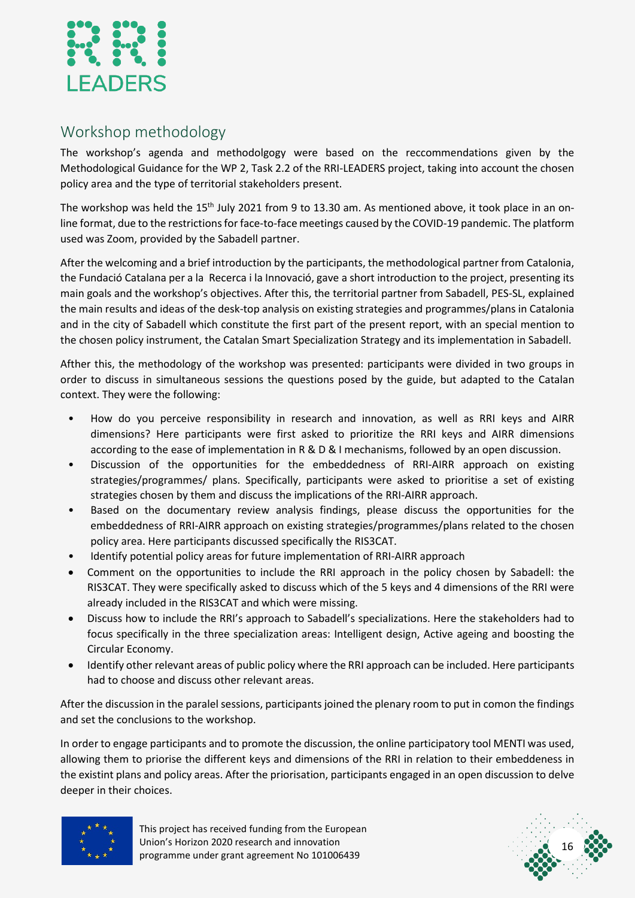

### <span id="page-16-0"></span>Workshop methodology

The workshop's agenda and methodolgogy were based on the reccommendations given by the Methodological Guidance for the WP 2, Task 2.2 of the RRI-LEADERS project, taking into account the chosen policy area and the type of territorial stakeholders present.

The workshop was held the 15<sup>th</sup> July 2021 from 9 to 13.30 am. As mentioned above, it took place in an online format, due to the restrictions for face-to-face meetings caused by the COVID-19 pandemic. The platform used was Zoom, provided by the Sabadell partner.

After the welcoming and a brief introduction by the participants, the methodological partner from Catalonia, the Fundació Catalana per a la Recerca i la Innovació, gave a short introduction to the project, presenting its main goals and the workshop's objectives. After this, the territorial partner from Sabadell, PES-SL, explained the main results and ideas of the desk-top analysis on existing strategies and programmes/plans in Catalonia and in the city of Sabadell which constitute the first part of the present report, with an special mention to the chosen policy instrument, the Catalan Smart Specialization Strategy and its implementation in Sabadell.

Afther this, the methodology of the workshop was presented: participants were divided in two groups in order to discuss in simultaneous sessions the questions posed by the guide, but adapted to the Catalan context. They were the following:

- How do you perceive responsibility in research and innovation, as well as RRI keys and AIRR dimensions? Here participants were first asked to prioritize the RRI keys and AIRR dimensions according to the ease of implementation in R & D & I mechanisms, followed by an open discussion.
- Discussion of the opportunities for the embeddedness of RRI-AIRR approach on existing strategies/programmes/ plans. Specifically, participants were asked to prioritise a set of existing strategies chosen by them and discuss the implications of the RRI-AIRR approach.
- Based on the documentary review analysis findings, please discuss the opportunities for the embeddedness of RRI-AIRR approach on existing strategies/programmes/plans related to the chosen policy area. Here participants discussed specifically the RIS3CAT.
- Identify potential policy areas for future implementation of RRI-AIRR approach
- Comment on the opportunities to include the RRI approach in the policy chosen by Sabadell: the RIS3CAT. They were specifically asked to discuss which of the 5 keys and 4 dimensions of the RRI were already included in the RIS3CAT and which were missing.
- Discuss how to include the RRI's approach to Sabadell's specializations. Here the stakeholders had to focus specifically in the three specialization areas: Intelligent design, Active ageing and boosting the Circular Economy.
- Identify other relevant areas of public policy where the RRI approach can be included. Here participants had to choose and discuss other relevant areas.

After the discussion in the paralel sessions, participants joined the plenary room to put in comon the findings and set the conclusions to the workshop.

In order to engage participants and to promote the discussion, the online participatory tool MENTI was used, allowing them to priorise the different keys and dimensions of the RRI in relation to their embeddeness in the existint plans and policy areas. After the priorisation, participants engaged in an open discussion to delve deeper in their choices.



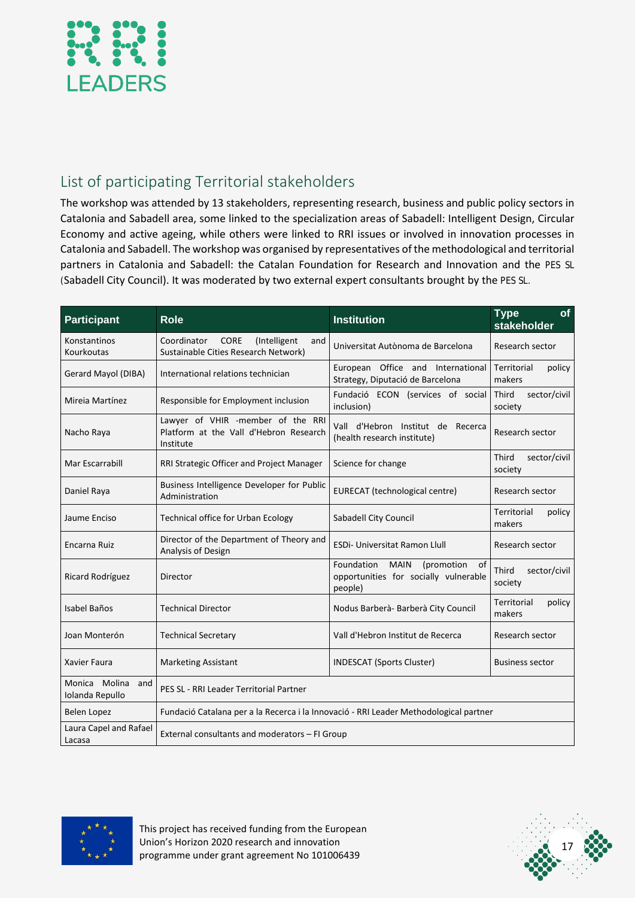

### <span id="page-17-0"></span>List of participating Territorial stakeholders

The workshop was attended by 13 stakeholders, representing research, business and public policy sectors in Catalonia and Sabadell area, some linked to the specialization areas of Sabadell: Intelligent Design, Circular Economy and active ageing, while others were linked to RRI issues or involved in innovation processes in Catalonia and Sabadell. The workshop was organised by representatives of the methodological and territorial partners in Catalonia and Sabadell: the Catalan Foundation for Research and Innovation and the PES SL (Sabadell City Council). It was moderated by two external expert consultants brought by the PES SL.

| <b>Participant</b>                      | <b>Role</b>                                                                                | <b>Institution</b>                                                                                | <b>of</b><br><b>Type</b><br>stakeholder |
|-----------------------------------------|--------------------------------------------------------------------------------------------|---------------------------------------------------------------------------------------------------|-----------------------------------------|
| Konstantinos<br>Kourkoutas              | Coordinator<br><b>CORE</b><br>(Intelligent)<br>and<br>Sustainable Cities Research Network) | Universitat Autònoma de Barcelona                                                                 | Research sector                         |
| Gerard Mayol (DIBA)                     | International relations technician                                                         | European Office and International<br>Strategy, Diputació de Barcelona                             | Territorial<br>policy<br>makers         |
| Mireia Martínez                         | Responsible for Employment inclusion                                                       | Fundació ECON (services of social<br>inclusion)                                                   | Third<br>sector/civil<br>society        |
| Nacho Raya                              | Lawyer of VHIR -member of the RRI<br>Platform at the Vall d'Hebron Research<br>Institute   | Vall d'Hebron Institut de Recerca<br>(health research institute)                                  | Research sector                         |
| Mar Escarrabill                         | RRI Strategic Officer and Project Manager                                                  | Science for change                                                                                | Third<br>sector/civil<br>society        |
| Daniel Raya                             | Business Intelligence Developer for Public<br>Administration                               | EURECAT (technological centre)                                                                    | Research sector                         |
| Jaume Enciso                            | <b>Technical office for Urban Ecology</b>                                                  | Sabadell City Council                                                                             | Territorial<br>policy<br>makers         |
| Encarna Ruiz                            | Director of the Department of Theory and<br>Analysis of Design                             | <b>ESDi- Universitat Ramon Llull</b>                                                              | Research sector                         |
| Ricard Rodríguez                        | Director                                                                                   | Foundation<br><b>MAIN</b><br>(promotion<br>0f<br>opportunities for socially vulnerable<br>people) | <b>Third</b><br>sector/civil<br>society |
| Isabel Baños                            | <b>Technical Director</b>                                                                  | Nodus Barberà-Barberà City Council                                                                | Territorial<br>policy<br>makers         |
| Joan Monterón                           | <b>Technical Secretary</b>                                                                 | Vall d'Hebron Institut de Recerca                                                                 | Research sector                         |
| <b>Xavier Faura</b>                     | <b>Marketing Assistant</b>                                                                 | <b>INDESCAT (Sports Cluster)</b>                                                                  | <b>Business sector</b>                  |
| Monica Molina<br>and<br>Iolanda Repullo | PES SL - RRI Leader Territorial Partner                                                    |                                                                                                   |                                         |
| Belen Lopez                             | Fundació Catalana per a la Recerca i la Innovació - RRI Leader Methodological partner      |                                                                                                   |                                         |
| Laura Capel and Rafael<br>Lacasa        | External consultants and moderators - FI Group                                             |                                                                                                   |                                         |



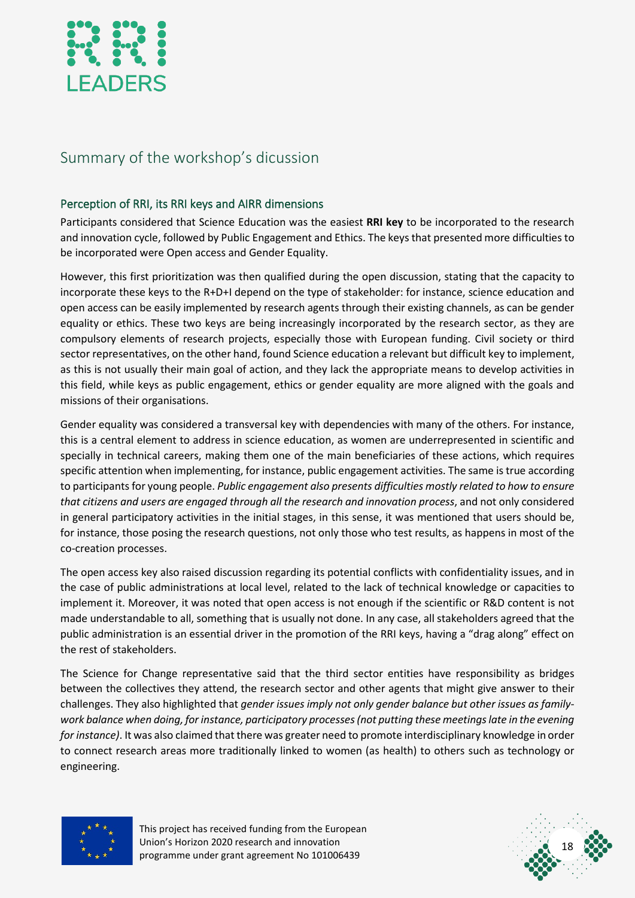

### <span id="page-18-0"></span>Summary of the workshop's dicussion

#### <span id="page-18-1"></span>Perception of RRI, its RRI keys and AIRR dimensions

Participants considered that Science Education was the easiest **RRI key** to be incorporated to the research and innovation cycle, followed by Public Engagement and Ethics. The keys that presented more difficulties to be incorporated were Open access and Gender Equality.

However, this first prioritization was then qualified during the open discussion, stating that the capacity to incorporate these keys to the R+D+I depend on the type of stakeholder: for instance, science education and open access can be easily implemented by research agents through their existing channels, as can be gender equality or ethics. These two keys are being increasingly incorporated by the research sector, as they are compulsory elements of research projects, especially those with European funding. Civil society or third sector representatives, on the other hand, found Science education a relevant but difficult key to implement, as this is not usually their main goal of action, and they lack the appropriate means to develop activities in this field, while keys as public engagement, ethics or gender equality are more aligned with the goals and missions of their organisations.

Gender equality was considered a transversal key with dependencies with many of the others. For instance, this is a central element to address in science education, as women are underrepresented in scientific and specially in technical careers, making them one of the main beneficiaries of these actions, which requires specific attention when implementing, for instance, public engagement activities. The same is true according to participants for young people. *Public engagement also presents difficulties mostly related to how to ensure that citizens and users are engaged through all the research and innovation process*, and not only considered in general participatory activities in the initial stages, in this sense, it was mentioned that users should be, for instance, those posing the research questions, not only those who test results, as happens in most of the co-creation processes.

The open access key also raised discussion regarding its potential conflicts with confidentiality issues, and in the case of public administrations at local level, related to the lack of technical knowledge or capacities to implement it. Moreover, it was noted that open access is not enough if the scientific or R&D content is not made understandable to all, something that is usually not done. In any case, all stakeholders agreed that the public administration is an essential driver in the promotion of the RRI keys, having a "drag along" effect on the rest of stakeholders.

The Science for Change representative said that the third sector entities have responsibility as bridges between the collectives they attend, the research sector and other agents that might give answer to their challenges. They also highlighted that *gender issues imply not only gender balance but other issues as familywork balance when doing, for instance, participatory processes(not putting these meetings late in the evening for instance)*. It was also claimed that there was greater need to promote interdisciplinary knowledge in order to connect research areas more traditionally linked to women (as health) to others such as technology or engineering.



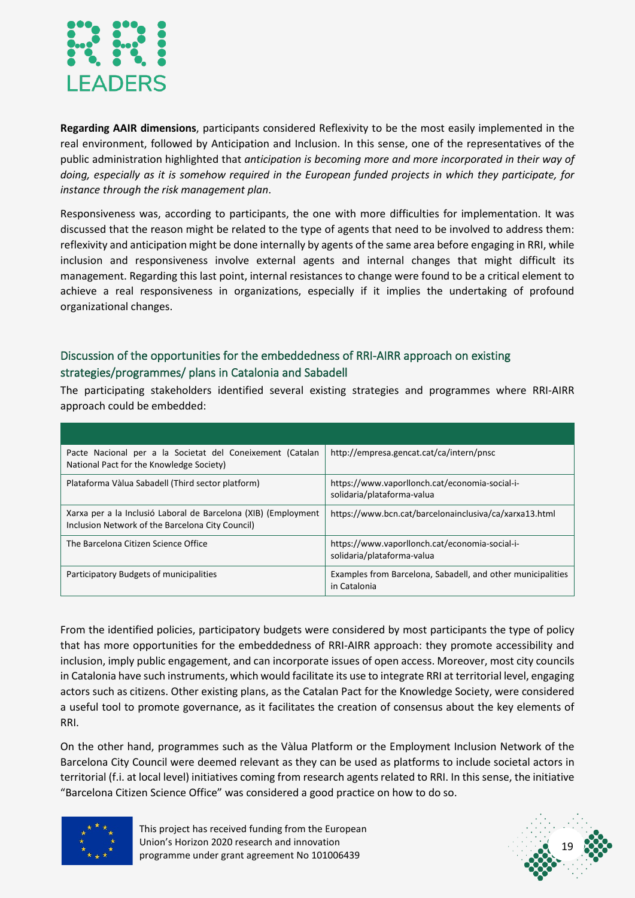

**Regarding AAIR dimensions**, participants considered Reflexivity to be the most easily implemented in the real environment, followed by Anticipation and Inclusion. In this sense, one of the representatives of the public administration highlighted that *anticipation is becoming more and more incorporated in their way of doing, especially as it is somehow required in the European funded projects in which they participate, for instance through the risk management plan*.

Responsiveness was, according to participants, the one with more difficulties for implementation. It was discussed that the reason might be related to the type of agents that need to be involved to address them: reflexivity and anticipation might be done internally by agents of the same area before engaging in RRI, while inclusion and responsiveness involve external agents and internal changes that might difficult its management. Regarding this last point, internal resistances to change were found to be a critical element to achieve a real responsiveness in organizations, especially if it implies the undertaking of profound organizational changes.

#### <span id="page-19-0"></span>Discussion of the opportunities for the embeddedness of RRI-AIRR approach on existing strategies/programmes/ plans in Catalonia and Sabadell

The participating stakeholders identified several existing strategies and programmes where RRI-AIRR approach could be embedded:

| Pacte Nacional per a la Societat del Coneixement (Catalan<br>National Pact for the Knowledge Society)              | http://empresa.gencat.cat/ca/intern/pnsc                                     |
|--------------------------------------------------------------------------------------------------------------------|------------------------------------------------------------------------------|
| Plataforma Vàlua Sabadell (Third sector platform)                                                                  | https://www.vaporllonch.cat/economia-social-i-<br>solidaria/plataforma-valua |
| Xarxa per a la Inclusió Laboral de Barcelona (XIB) (Employment<br>Inclusion Network of the Barcelona City Council) | https://www.bcn.cat/barcelonainclusiva/ca/xarxa13.html                       |
| The Barcelona Citizen Science Office                                                                               | https://www.vaporllonch.cat/economia-social-i-<br>solidaria/plataforma-valua |
| Participatory Budgets of municipalities                                                                            | Examples from Barcelona, Sabadell, and other municipalities<br>in Catalonia  |

From the identified policies, participatory budgets were considered by most participants the type of policy that has more opportunities for the embeddedness of RRI-AIRR approach: they promote accessibility and inclusion, imply public engagement, and can incorporate issues of open access. Moreover, most city councils in Catalonia have such instruments, which would facilitate its use to integrate RRI at territorial level, engaging actors such as citizens. Other existing plans, as the Catalan Pact for the Knowledge Society, were considered a useful tool to promote governance, as it facilitates the creation of consensus about the key elements of RRI.

On the other hand, programmes such as the Vàlua Platform or the Employment Inclusion Network of the Barcelona City Council were deemed relevant as they can be used as platforms to include societal actors in territorial (f.i. at local level) initiatives coming from research agents related to RRI. In this sense, the initiative "Barcelona Citizen Science Office" was considered a good practice on how to do so.



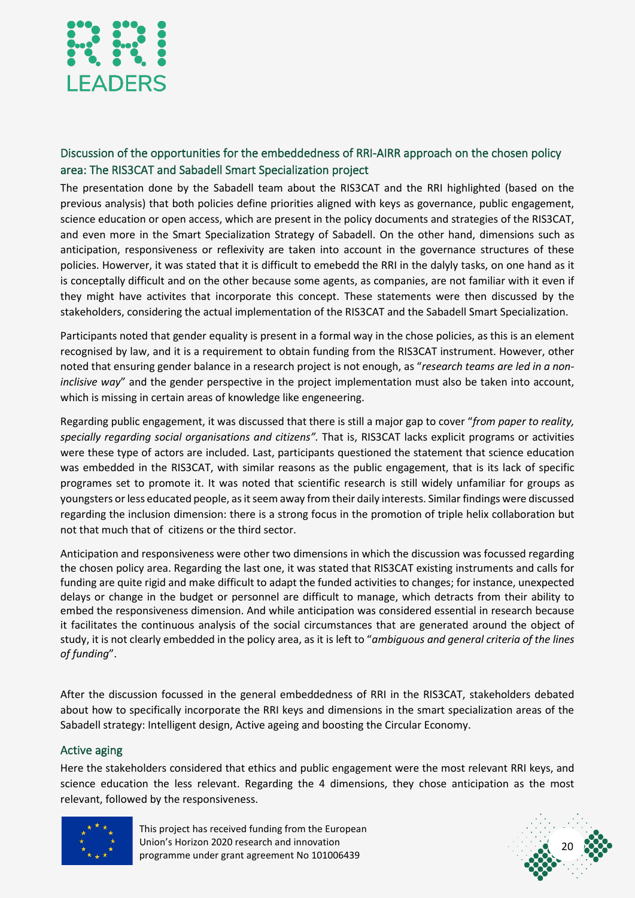

#### <span id="page-20-0"></span>Discussion of the opportunities for the embeddedness of RRI-AIRR approach on the chosen policy area: The RIS3CAT and Sabadell Smart Specialization project

The presentation done by the Sabadell team about the RIS3CAT and the RRI highlighted (based on the previous analysis) that both policies define priorities aligned with keys as governance, public engagement, science education or open access, which are present in the policy documents and strategies of the RIS3CAT, and even more in the Smart Specialization Strategy of Sabadell. On the other hand, dimensions such as anticipation, responsiveness or reflexivity are taken into account in the governance structures of these policies. Howerver, it was stated that it is difficult to emebedd the RRI in the dalyly tasks, on one hand as it is conceptally difficult and on the other because some agents, as companies, are not familiar with it even if they might have activites that incorporate this concept. These statements were then discussed by the stakeholders, considering the actual implementation of the RIS3CAT and the Sabadell Smart Specialization.

Participants noted that gender equality is present in a formal way in the chose policies, as this is an element recognised by law, and it is a requirement to obtain funding from the RIS3CAT instrument. However, other noted that ensuring gender balance in a research project is not enough, as "*research teams are led in a noninclisive way*" and the gender perspective in the project implementation must also be taken into account, which is missing in certain areas of knowledge like engeneering.

Regarding public engagement, it was discussed that there is still a major gap to cover "*from paper to reality, specially regarding social organisations and citizens".* That is, RIS3CAT lacks explicit programs or activities were these type of actors are included. Last, participants questioned the statement that science education was embedded in the RIS3CAT, with similar reasons as the public engagement, that is its lack of specific programes set to promote it. It was noted that scientific research is still widely unfamiliar for groups as youngsters or less educated people, as it seem away from their daily interests. Similar findings were discussed regarding the inclusion dimension: there is a strong focus in the promotion of triple helix collaboration but not that much that of citizens or the third sector.

Anticipation and responsiveness were other two dimensions in which the discussion was focussed regarding the chosen policy area. Regarding the last one, it was stated that RIS3CAT existing instruments and calls for funding are quite rigid and make difficult to adapt the funded activities to changes; for instance, unexpected delays or change in the budget or personnel are difficult to manage, which detracts from their ability to embed the responsiveness dimension. And while anticipation was considered essential in research because it facilitates the continuous analysis of the social circumstances that are generated around the object of study, it is not clearly embedded in the policy area, as it is left to "*ambiguous and general criteria of the lines of funding*".

After the discussion focussed in the general embeddedness of RRI in the RIS3CAT, stakeholders debated about how to specifically incorporate the RRI keys and dimensions in the smart specialization areas of the Sabadell strategy: Intelligent design, Active ageing and boosting the Circular Economy.

#### <span id="page-20-1"></span>Active aging

Here the stakeholders considered that ethics and public engagement were the most relevant RRI keys, and science education the less relevant. Regarding the 4 dimensions, they chose anticipation as the most relevant, followed by the responsiveness.



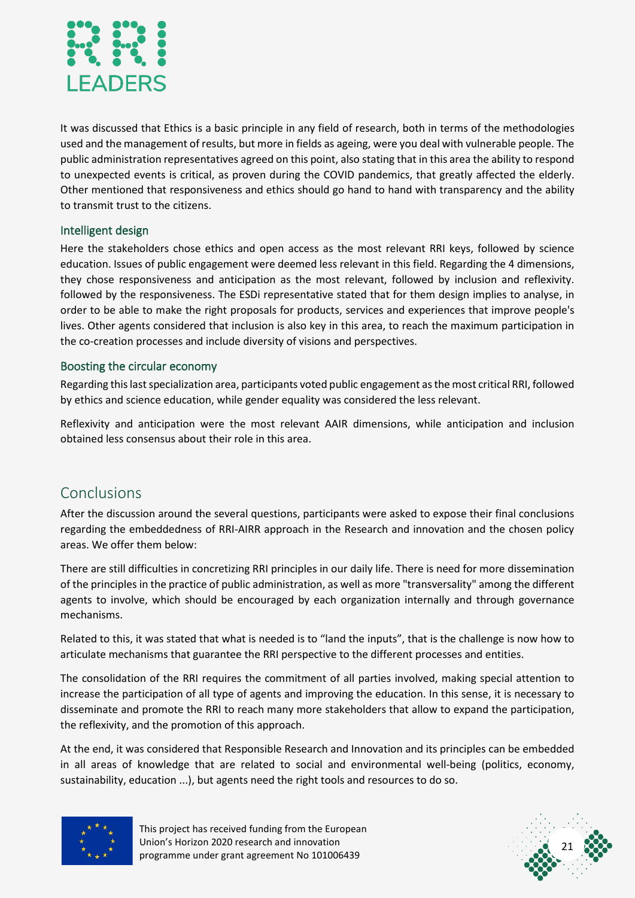

It was discussed that Ethics is a basic principle in any field of research, both in terms of the methodologies used and the management of results, but more in fields as ageing, were you deal with vulnerable people. The public administration representatives agreed on this point, also stating that in this area the ability to respond to unexpected events is critical, as proven during the COVID pandemics, that greatly affected the elderly. Other mentioned that responsiveness and ethics should go hand to hand with transparency and the ability to transmit trust to the citizens.

#### <span id="page-21-0"></span>Intelligent design

Here the stakeholders chose ethics and open access as the most relevant RRI keys, followed by science education. Issues of public engagement were deemed less relevant in this field. Regarding the 4 dimensions, they chose responsiveness and anticipation as the most relevant, followed by inclusion and reflexivity. followed by the responsiveness. The ESDi representative stated that for them design implies to analyse, in order to be able to make the right proposals for products, services and experiences that improve people's lives. Other agents considered that inclusion is also key in this area, to reach the maximum participation in the co-creation processes and include diversity of visions and perspectives.

#### <span id="page-21-1"></span>Boosting the circular economy

Regarding this last specialization area, participants voted public engagement as the most critical RRI, followed by ethics and science education, while gender equality was considered the less relevant.

Reflexivity and anticipation were the most relevant AAIR dimensions, while anticipation and inclusion obtained less consensus about their role in this area.

#### <span id="page-21-2"></span>Conclusions

After the discussion around the several questions, participants were asked to expose their final conclusions regarding the embeddedness of RRI-AIRR approach in the Research and innovation and the chosen policy areas. We offer them below:

There are still difficulties in concretizing RRI principles in our daily life. There is need for more dissemination of the principles in the practice of public administration, as well as more "transversality" among the different agents to involve, which should be encouraged by each organization internally and through governance mechanisms.

Related to this, it was stated that what is needed is to "land the inputs", that is the challenge is now how to articulate mechanisms that guarantee the RRI perspective to the different processes and entities.

The consolidation of the RRI requires the commitment of all parties involved, making special attention to increase the participation of all type of agents and improving the education. In this sense, it is necessary to disseminate and promote the RRI to reach many more stakeholders that allow to expand the participation, the reflexivity, and the promotion of this approach.

At the end, it was considered that Responsible Research and Innovation and its principles can be embedded in all areas of knowledge that are related to social and environmental well-being (politics, economy, sustainability, education ...), but agents need the right tools and resources to do so.



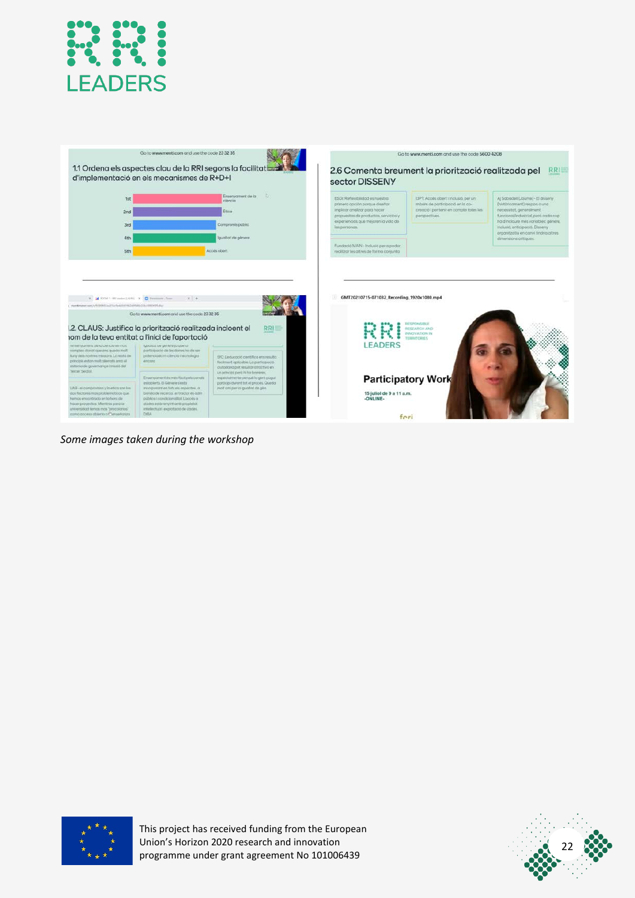



*Some images taken during the workshop*



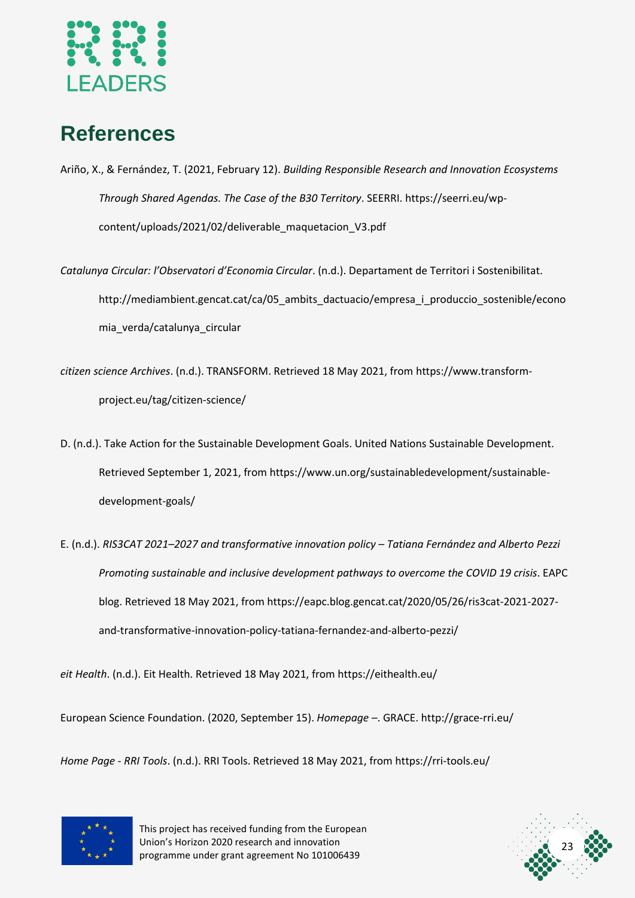

# <span id="page-23-0"></span>**References**

- Ariño, X., & Fernández, T. (2021, February 12). *Building Responsible Research and Innovation Ecosystems Through Shared Agendas. The Case of the B30 Territory*. SEERRI. https://seerri.eu/wpcontent/uploads/2021/02/deliverable\_maquetacion\_V3.pdf
- *Catalunya Circular: l'Observatori d'Economia Circular*. (n.d.). Departament de Territori i Sostenibilitat. http://mediambient.gencat.cat/ca/05 ambits dactuacio/empresa\_i\_produccio\_sostenible/econo mia\_verda/catalunya\_circular
- *citizen science Archives*. (n.d.). TRANSFORM. Retrieved 18 May 2021, from https://www.transformproject.eu/tag/citizen-science/
- D. (n.d.). Take Action for the Sustainable Development Goals. United Nations Sustainable Development. Retrieved September 1, 2021, from https://www.un.org/sustainabledevelopment/sustainabledevelopment-goals/
- E. (n.d.). *RIS3CAT 2021–2027 and transformative innovation policy – Tatiana Fernández and Alberto Pezzi Promoting sustainable and inclusive development pathways to overcome the COVID 19 crisis*. EAPC blog. Retrieved 18 May 2021, from https://eapc.blog.gencat.cat/2020/05/26/ris3cat-2021-2027 and-transformative-innovation-policy-tatiana-fernandez-and-alberto-pezzi/

*eit Health*. (n.d.). Eit Health. Retrieved 18 May 2021, from https://eithealth.eu/

European Science Foundation. (2020, September 15). *Homepage –*. GRACE. http://grace-rri.eu/

*Home Page - RRI Tools*. (n.d.). RRI Tools. Retrieved 18 May 2021, from https://rri-tools.eu/



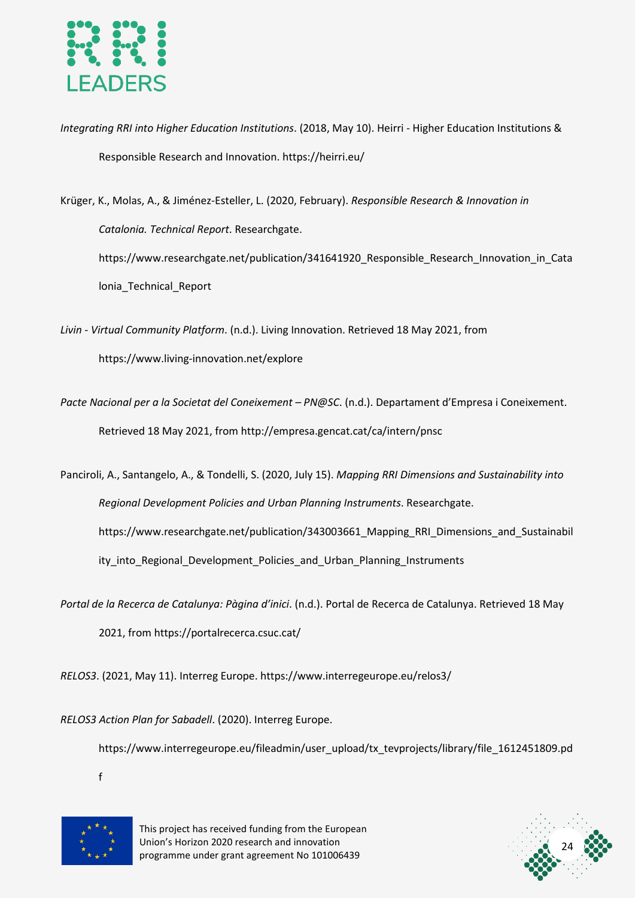

*Integrating RRI into Higher Education Institutions*. (2018, May 10). Heirri - Higher Education Institutions & Responsible Research and Innovation. https://heirri.eu/

Krüger, K., Molas, A., & Jiménez-Esteller, L. (2020, February). *Responsible Research & Innovation in Catalonia. Technical Report*. Researchgate. https://www.researchgate.net/publication/341641920 Responsible Research Innovation in Cata lonia\_Technical\_Report

*Livin - Virtual Community Platform*. (n.d.). Living Innovation. Retrieved 18 May 2021, from https://www.living-innovation.net/explore

*Pacte Nacional per a la Societat del Coneixement – PN@SC*. (n.d.). Departament d'Empresa i Coneixement. Retrieved 18 May 2021, from http://empresa.gencat.cat/ca/intern/pnsc

Panciroli, A., Santangelo, A., & Tondelli, S. (2020, July 15). *Mapping RRI Dimensions and Sustainability into Regional Development Policies and Urban Planning Instruments*. Researchgate. https://www.researchgate.net/publication/343003661\_Mapping\_RRI\_Dimensions\_and\_Sustainabil ity\_into\_Regional\_Development\_Policies\_and\_Urban\_Planning\_Instruments

*Portal de la Recerca de Catalunya: Pàgina d'inici*. (n.d.). Portal de Recerca de Catalunya. Retrieved 18 May 2021, from https://portalrecerca.csuc.cat/

*RELOS3*. (2021, May 11). Interreg Europe. https://www.interregeurope.eu/relos3/

*RELOS3 Action Plan for Sabadell*. (2020). Interreg Europe.

https://www.interregeurope.eu/fileadmin/user\_upload/tx\_tevprojects/library/file\_1612451809.pd

f



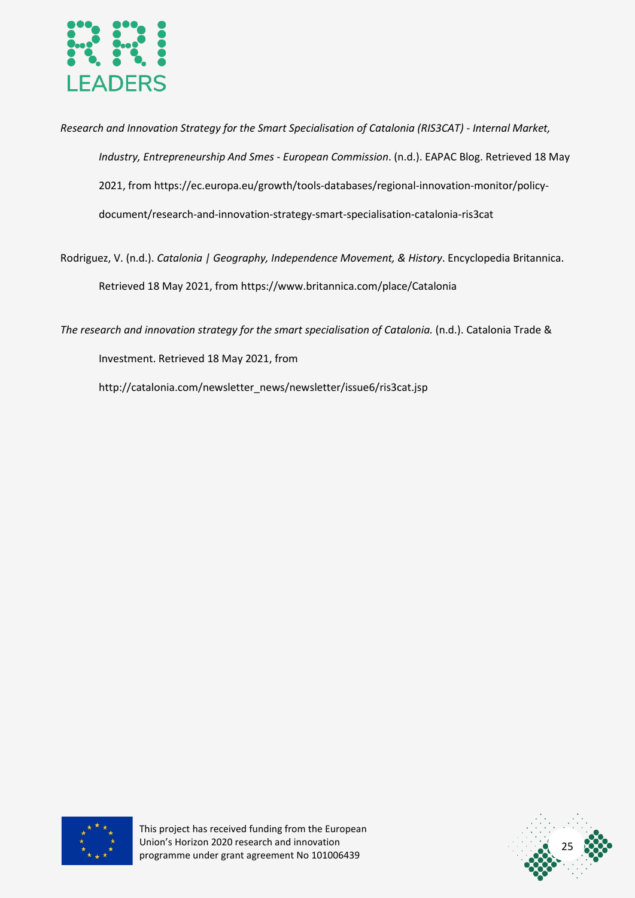

*Research and Innovation Strategy for the Smart Specialisation of Catalonia (RIS3CAT) - Internal Market, Industry, Entrepreneurship And Smes - European Commission*. (n.d.). EAPAC Blog. Retrieved 18 May 2021, from https://ec.europa.eu/growth/tools-databases/regional-innovation-monitor/policydocument/research-and-innovation-strategy-smart-specialisation-catalonia-ris3cat

Rodriguez, V. (n.d.). *Catalonia | Geography, Independence Movement, & History*. Encyclopedia Britannica. Retrieved 18 May 2021, from https://www.britannica.com/place/Catalonia

*The research and innovation strategy for the smart specialisation of Catalonia.* (n.d.). Catalonia Trade & Investment. Retrieved 18 May 2021, from

http://catalonia.com/newsletter\_news/newsletter/issue6/ris3cat.jsp